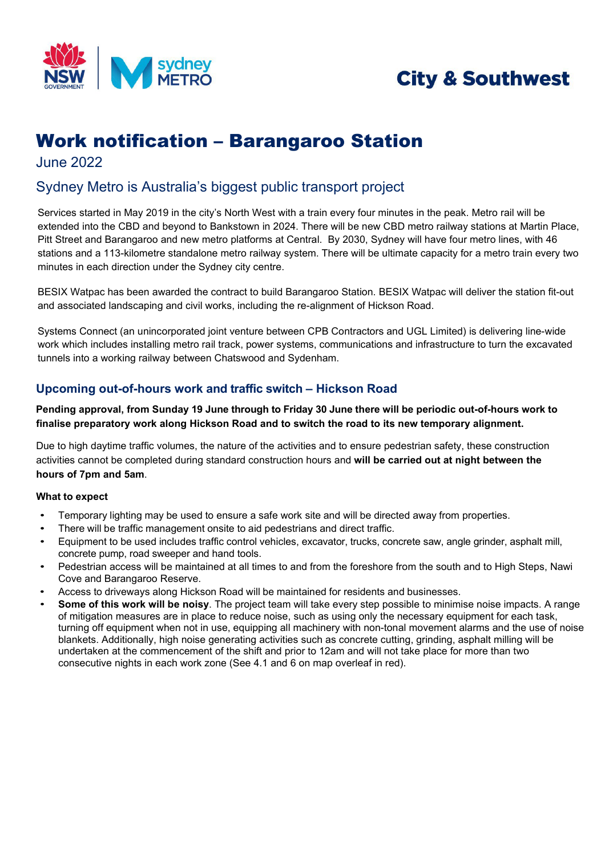

# **City & Southwest**

## Work notification – Barangaroo Station

June 2022

### Sydney Metro is Australia's biggest public transport project

Services started in May 2019 in the city's North West with a train every four minutes in the peak. Metro rail will be extended into the CBD and beyond to Bankstown in 2024. There will be new CBD metro railway stations at Martin Place, Pitt Street and Barangaroo and new metro platforms at Central. By 2030, Sydney will have four metro lines, with 46 stations and a 113-kilometre standalone metro railway system. There will be ultimate capacity for a metro train every two minutes in each direction under the Sydney city centre.

BESIX Watpac has been awarded the contract to build Barangaroo Station. BESIX Watpac will deliver the station fit-out and associated landscaping and civil works, including the re-alignment of Hickson Road.

Systems Connect (an unincorporated joint venture between CPB Contractors and UGL Limited) is delivering line-wide work which includes installing metro rail track, power systems, communications and infrastructure to turn the excavated tunnels into a working railway between Chatswood and Sydenham.

#### **Upcoming out-of-hours work and traffic switch – Hickson Road**

**Pending approval, from Sunday 19 June through to Friday 30 June there will be periodic out-of-hours work to finalise preparatory work along Hickson Road and to switch the road to its new temporary alignment.**

Due to high daytime traffic volumes, the nature of the activities and to ensure pedestrian safety, these construction activities cannot be completed during standard construction hours and **will be carried out at night between the hours of 7pm and 5am**.

#### **What to expect**

- Temporary lighting may be used to ensure a safe work site and will be directed away from properties.
- There will be traffic management onsite to aid pedestrians and direct traffic.
- Equipment to be used includes traffic control vehicles, excavator, trucks, concrete saw, angle grinder, asphalt mill, concrete pump, road sweeper and hand tools.
- Pedestrian access will be maintained at all times to and from the foreshore from the south and to High Steps, Nawi Cove and Barangaroo Reserve.
- Access to driveways along Hickson Road will be maintained for residents and businesses.
- **Some of this work will be noisy**. The project team will take every step possible to minimise noise impacts. A range of mitigation measures are in place to reduce noise, such as using only the necessary equipment for each task, turning off equipment when not in use, equipping all machinery with non-tonal movement alarms and the use of noise blankets. Additionally, high noise generating activities such as concrete cutting, grinding, asphalt milling will be undertaken at the commencement of the shift and prior to 12am and will not take place for more than two consecutive nights in each work zone (See 4.1 and 6 on map overleaf in red).